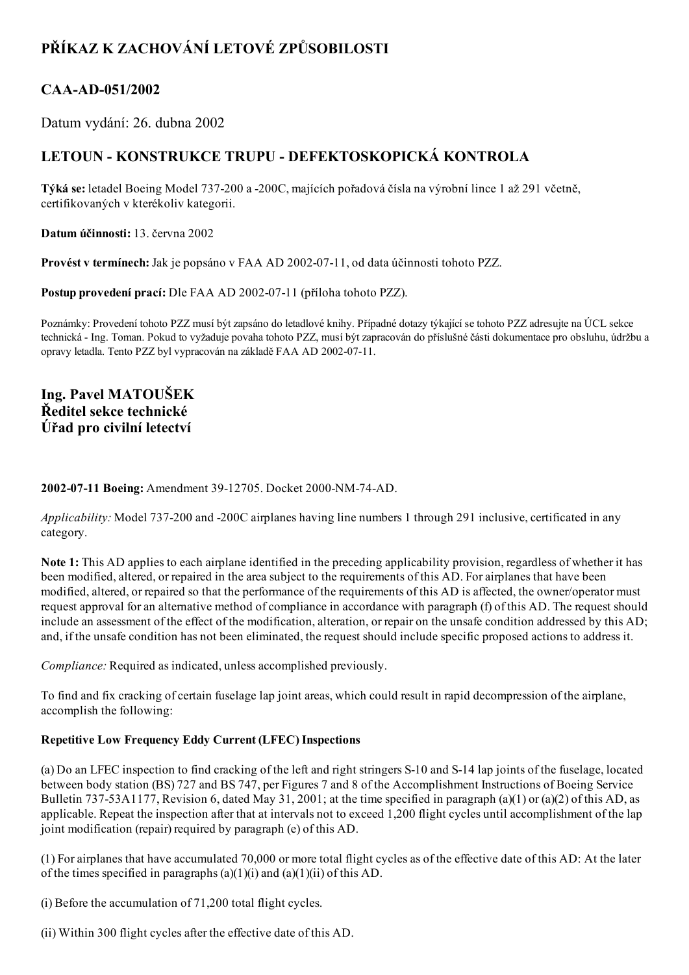# PŘÍKAZ K ZACHOVÁNÍ LETOVÉ ZPŮSOBILOSTI

## CAA-AD-051/2002

Datum vydání: 26. dubna 2002

## LETOUN - KONSTRUKCE TRUPU - DEFEKTOSKOPICKÁ KONTROLA

Týká se: letadel Boeing Model 737200 a 200C, majících pořadová čísla na výrobní lince 1 až 291 včetně, certifikovaných v kterékoliv kategorii.

Datum účinnosti: 13. června 2002

Provést v termínech: Jak je popsáno v FAA AD 2002-07-11, od data účinnosti tohoto PZZ.

Postup provedení prací: Dle FAA AD 2002-07-11 (příloha tohoto PZZ).

Poznámky: Provedení tohoto PZZ musí být zapsáno do letadlové knihy. Případné dotazy týkající se tohoto PZZ adresujte na ÚCL sekce technická Ing. Toman. Pokud to vyžaduje povaha tohoto PZZ, musí být zapracován do příslušné části dokumentace pro obsluhu, údržbu a opravy letadla. Tento PZZ byl vypracován na základě FAA AD 2002-07-11.

Ing. Pavel MATOUŠEK Ředitel sekce technické Úřad pro civilní letectví

### 2002-07-11 Boeing: Amendment 39-12705. Docket 2000-NM-74-AD.

Applicability: Model 737-200 and -200C airplanes having line numbers 1 through 291 inclusive, certificated in any category.

Note 1: This AD applies to each airplane identified in the preceding applicability provision, regardless of whether it has been modified, altered, or repaired in the area subject to the requirements of this AD. For airplanes that have been modified, altered, or repaired so that the performance of the requirements of this AD is affected, the owner/operator must request approval for an alternative method of compliance in accordance with paragraph (f) of this AD. The request should include an assessment of the effect of the modification, alteration, or repair on the unsafe condition addressed by this AD; and, if the unsafe condition has not been eliminated, the request should include specific proposed actions to address it.

Compliance: Required as indicated, unless accomplished previously.

To find and fix cracking of certain fuselage lap joint areas, which could result in rapid decompression of the airplane, accomplish the following:

## Repetitive Low Frequency Eddy Current (LFEC) Inspections

(a) Do an LFEC inspection to find cracking of the left and right stringers S10 and S14 lap joints of the fuselage, located between body station (BS) 727 and BS 747, per Figures 7 and 8 of the Accomplishment Instructions of Boeing Service Bulletin 737-53A1177, Revision 6, dated May 31, 2001; at the time specified in paragraph (a)(1) or (a)(2) of this AD, as applicable. Repeat the inspection after that at intervals not to exceed 1,200 flight cycles until accomplishment of the lap joint modification (repair) required by paragraph (e) of this AD.

(1) For airplanes that have accumulated 70,000 or more total flight cycles as of the effective date of this AD: At the later of the times specified in paragraphs  $(a)(1)(i)$  and  $(a)(1)(ii)$  of this AD.

(i) Before the accumulation of 71,200 total flight cycles.

(ii) Within 300 flight cycles after the effective date of this AD.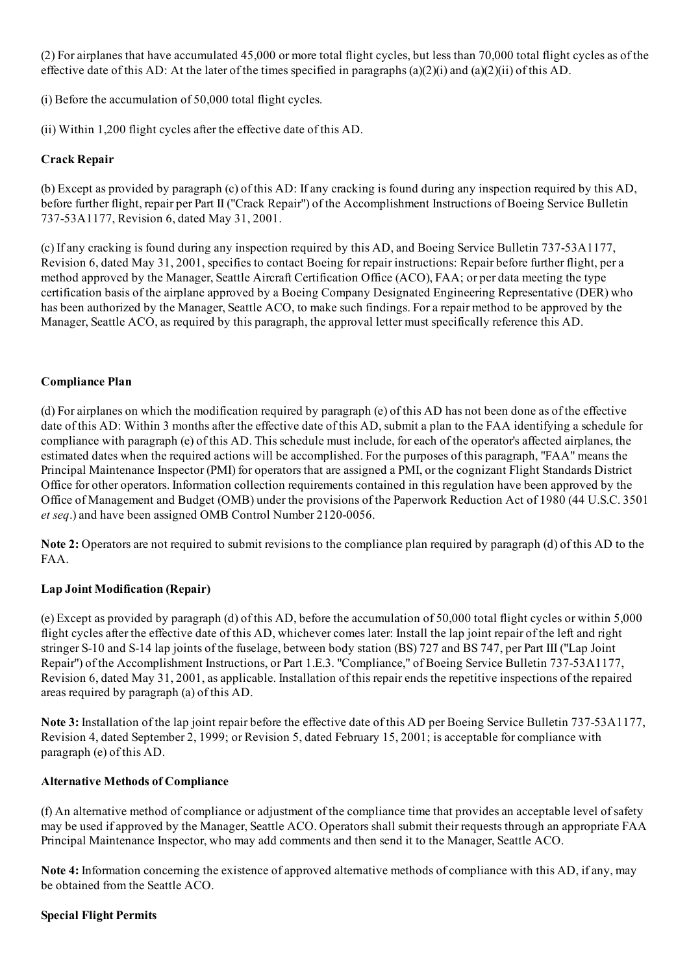(2) For airplanes that have accumulated 45,000 or more total flight cycles, but less than 70,000 total flight cycles as of the effective date of this AD: At the later of the times specified in paragraphs (a)(2)(i) and (a)(2)(ii) of this AD.

(i) Before the accumulation of 50,000 total flight cycles.

(ii) Within 1,200 flight cycles after the effective date of this AD.

## Crack Repair

(b) Except as provided by paragraph (c) of this AD: If any cracking is found during any inspection required by this AD, before further flight, repair per Part II ("Crack Repair") of the Accomplishment Instructions of Boeing Service Bulletin 73753A1177, Revision 6, dated May 31, 2001.

(c) If any cracking is found during any inspection required by this AD, and Boeing Service Bulletin 73753A1177, Revision 6, dated May 31, 2001, specifies to contact Boeing for repair instructions: Repair before further flight, per a method approved by the Manager, Seattle Aircraft Certification Office (ACO), FAA; or per data meeting the type certification basis of the airplane approved by a Boeing Company Designated Engineering Representative (DER) who has been authorized by the Manager, Seattle ACO, to make such findings. For a repair method to be approved by the Manager, Seattle ACO, as required by this paragraph, the approval letter must specifically reference this AD.

#### Compliance Plan

(d) For airplanes on which the modification required by paragraph (e) of this AD has not been done as of the effective date of this AD: Within 3 months after the effective date of this AD, submit a plan to the FAA identifying a schedule for compliance with paragraph (e) of this AD. This schedule must include, for each of the operator's affected airplanes, the estimated dates when the required actions will be accomplished. For the purposes of this paragraph, "FAA" means the Principal Maintenance Inspector (PMI) for operators that are assigned a PMI, or the cognizant Flight Standards District Office for other operators. Information collection requirements contained in this regulation have been approved by the Office of Management and Budget (OMB) under the provisions of the Paperwork Reduction Act of 1980 (44 U.S.C. 3501 et seq.) and have been assigned OMB Control Number 2120-0056.

Note 2: Operators are not required to submit revisions to the compliance plan required by paragraph (d) of this AD to the FAA.

## Lap Joint Modification (Repair)

(e) Except as provided by paragraph (d) of this AD, before the accumulation of 50,000 total flight cycles or within 5,000 flight cycles after the effective date of this AD, whichever comes later: Install the lap joint repair of the left and right stringer S10 and S14 lap joints of the fuselage, between body station (BS) 727 and BS 747, per Part III ("Lap Joint Repair") of the Accomplishment Instructions, or Part 1.E.3. "Compliance," of Boeing Service Bulletin 73753A1177, Revision 6, dated May 31, 2001, as applicable. Installation of this repair ends the repetitive inspections of the repaired areas required by paragraph (a) of this AD.

Note 3: Installation of the lap joint repair before the effective date of this AD per Boeing Service Bulletin 737-53A1177, Revision 4, dated September 2, 1999; or Revision 5, dated February 15, 2001; is acceptable for compliance with paragraph (e) of this AD.

#### Alternative Methods of Compliance

(f) An alternative method of compliance or adjustment of the compliance time that provides an acceptable level ofsafety may be used if approved by the Manager, Seattle ACO. Operators shall submit their requests through an appropriate FAA Principal Maintenance Inspector, who may add comments and then send it to the Manager, Seattle ACO.

Note 4: Information concerning the existence of approved alternative methods of compliance with this AD, if any, may be obtained from the Seattle ACO.

#### Special Flight Permits